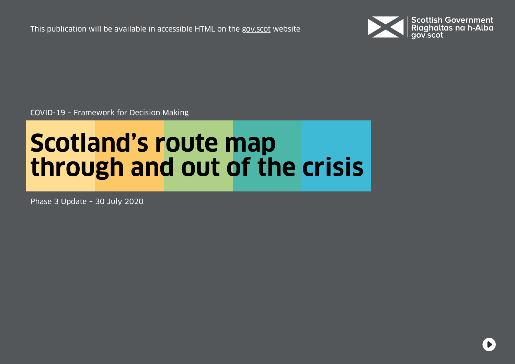This publication will be available in accessible HTML on the [gov.scot](https://www.gov.scot/isbn/9781839609411) website



COVID-19 – Framework for Decision Making

# **Scotland's route map through and out of the crisis**

Phase 3 Update – 30 July 2020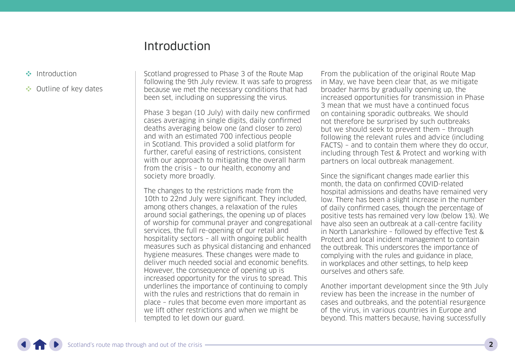## Introduction

- <span id="page-1-0"></span>Introduction
- •• [Outline of key dates](#page-6-0)

Scotland progressed to Phase 3 of the Route Map following the 9th July review. It was safe to progress because we met the necessary conditions that had been set, including on suppressing the virus.

Phase 3 began (10 July) with daily new confirmed cases averaging in single digits, daily confirmed deaths averaging below one (and closer to zero) and with an estimated 700 infectious people in Scotland. This provided a solid platform for further, careful easing of restrictions, consistent with our approach to mitigating the overall harm from the crisis – to our health, economy and society more broadly.

The changes to the restrictions made from the 10th to 22nd July were significant. They included, among others changes, a relaxation of the rules around social gatherings, the opening up of places of worship for communal prayer and congregational services, the full re-opening of our retail and hospitality sectors – all with ongoing public health measures such as physical distancing and enhanced hygiene measures. These changes were made to deliver much needed social and economic benefits. However, the consequence of opening up is increased opportunity for the virus to spread. This underlines the importance of continuing to comply with the rules and restrictions that do remain in place – rules that become even more important as we lift other restrictions and when we might be tempted to let down our guard.

From the publication of the original Route Map in May, we have been clear that, as we mitigate broader harms by gradually opening up, the increased opportunities for transmission in Phase 3 mean that we must have a continued focus on containing sporadic outbreaks. We should not therefore be surprised by such outbreaks but we should seek to prevent them – through following the relevant rules and advice (including FACTS) – and to contain them where they do occur, including through Test & Protect and working with partners on local outbreak management.

Since the significant changes made earlier this month, the data on confirmed COVID-related hospital admissions and deaths have remained very low. There has been a slight increase in the number of daily confirmed cases, though the percentage of positive tests has remained very low (below 1%). We have also seen an outbreak at a call-centre facility in North Lanarkshire – followed by effective Test & Protect and local incident management to contain the outbreak. This underscores the importance of complying with the rules and guidance in place, in workplaces and other settings, to help keep ourselves and others safe.

Another important development since the 9th July review has been the increase in the number of cases and outbreaks, and the potential resurgence of the virus, in various countries in Europe and beyond. This matters because, having successfully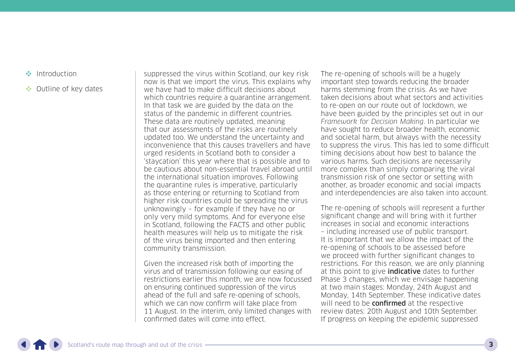- [Introduction](#page-1-0)
- •• [Outline of key dates](#page-6-0)

suppressed the virus within Scotland, our key risk now is that we import the virus. This explains why we have had to make difficult decisions about which countries require a quarantine arrangement. In that task we are guided by the data on the status of the pandemic in different countries. These data are routinely updated, meaning that our assessments of the risks are routinely updated too. We understand the uncertainty and inconvenience that this causes travellers and have urged residents in Scotland both to consider a 'staycation' this year where that is possible and to be cautious about non-essential travel abroad until the international situation improves. Following the quarantine rules is imperative, particularly as those entering or returning to Scotland from higher risk countries could be spreading the virus unknowingly – for example if they have no or only very mild symptoms. And for everyone else in Scotland, following the FACTS and other public health measures will help us to mitigate the risk of the virus being imported and then entering community transmission.

Given the increased risk both of importing the virus and of transmission following our easing of restrictions earlier this month, we are now focussed on ensuring continued suppression of the virus ahead of the full and safe re-opening of schools, which we can now confirm will take place from 11 August. In the interim, only limited changes with confirmed dates will come into effect.

The re-opening of schools will be a hugely important step towards reducing the broader harms stemming from the crisis. As we have taken decisions about what sectors and activities to re-open on our route out of lockdown, we have been guided by the principles set out in our Framework for Decision Making. In particular we have sought to reduce broader health, economic and societal harm, but always with the necessity to suppress the virus. This has led to some difficult timing decisions about how best to balance the various harms. Such decisions are necessarily more complex than simply comparing the viral transmission risk of one sector or setting with another, as broader economic and social impacts and interdependencies are also taken into account.

The re-opening of schools will represent a further significant change and will bring with it further increases in social and economic interactions – including increased use of public transport. It is important that we allow the impact of the re-opening of schools to be assessed before we proceed with further significant changes to restrictions. For this reason, we are only planning at this point to give **indicative** dates to further Phase 3 changes, which we envisage happening at two main stages: Monday, 24th August and Monday, 14th September. These indicative dates will need to be **confirmed** at the respective review dates: 20th August and 10th September. If progress on keeping the epidemic suppressed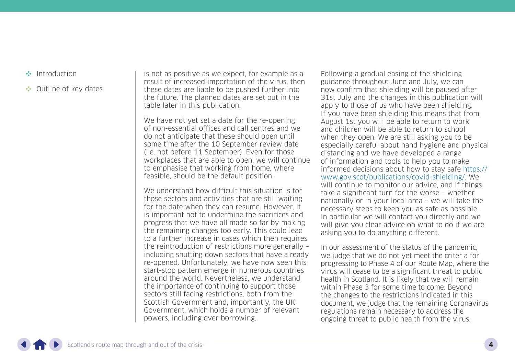- [Introduction](#page-1-0)
- •• [Outline of key dates](#page-6-0)

is not as positive as we expect, for example as a result of increased importation of the virus, then these dates are liable to be pushed further into the future. The planned dates are set out in the table later in this publication.

We have not yet set a date for the re-opening of non-essential offices and call centres and we do not anticipate that these should open until some time after the 10 September review date (i.e. not before 11 September). Even for those workplaces that are able to open, we will continue to emphasise that working from home, where feasible, should be the default position.

We understand how difficult this situation is for those sectors and activities that are still waiting for the date when they can resume. However, it is important not to undermine the sacrifices and progress that we have all made so far by making the remaining changes too early. This could lead to a further increase in cases which then requires the reintroduction of restrictions more generally – including shutting down sectors that have already re-opened. Unfortunately, we have now seen this start-stop pattern emerge in numerous countries around the world. Nevertheless, we understand the importance of continuing to support those sectors still facing restrictions, both from the Scottish Government and, importantly, the UK Government, which holds a number of relevant powers, including over borrowing.

Following a gradual easing of the shielding guidance throughout June and July, we can now confirm that shielding will be paused after 31st July and the changes in this publication will apply to those of us who have been shielding. If you have been shielding this means that from August 1st you will be able to return to work and children will be able to return to school when they open. We are still asking you to be especially careful about hand hygiene and physical distancing and we have developed a range of information and tools to help you to make informed decisions about how to stay safe [https://](https://www.gov.scot/publications/covid-shielding/) [www.gov.scot/publications/covid-shielding/.](https://www.gov.scot/publications/covid-shielding/) We will continue to monitor our advice, and if things take a significant turn for the worse – whether nationally or in your local area – we will take the necessary steps to keep you as safe as possible. In particular we will contact you directly and we will give you clear advice on what to do if we are asking you to do anything different.

In our assessment of the status of the pandemic, we judge that we do not yet meet the criteria for progressing to Phase 4 of our Route Map, where the virus will cease to be a significant threat to public health in Scotland. It is likely that we will remain within Phase 3 for some time to come. Beyond the changes to the restrictions indicated in this document, we judge that the remaining Coronavirus regulations remain necessary to address the ongoing threat to public health from the virus.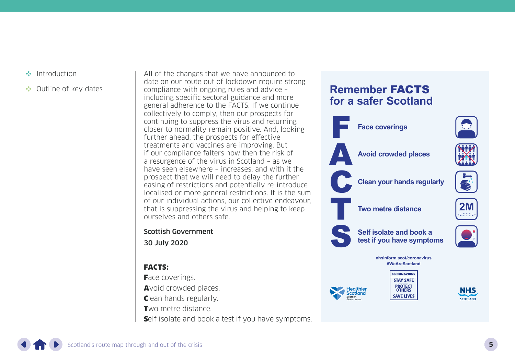- [Introduction](#page-1-0)
- •• [Outline of key dates](#page-6-0)

All of the changes that we have announced to date on our route out of lockdown require strong compliance with ongoing rules and advice – including specific sectoral guidance and more general adherence to the FACTS. If we continue collectively to comply, then our prospects for continuing to suppress the virus and returning closer to normality remain positive. And, looking further ahead, the prospects for effective treatments and vaccines are improving. But if our compliance falters now then the risk of a resurgence of the virus in Scotland – as we have seen elsewhere – increases, and with it the prospect that we will need to delay the further easing of restrictions and potentially re-introduce localised or more general restrictions. It is the sum of our individual actions, our collective endeavour, that is suppressing the virus and helping to keep ourselves and others safe.

Scottish Government

30 July 2020

#### FACTS:

Face coverings. Avoid crowded places. Clean hands regularly. Two metre distance. Self isolate and book a test if you have symptoms.

### **Remember** FACTS **for a safer Scotland**

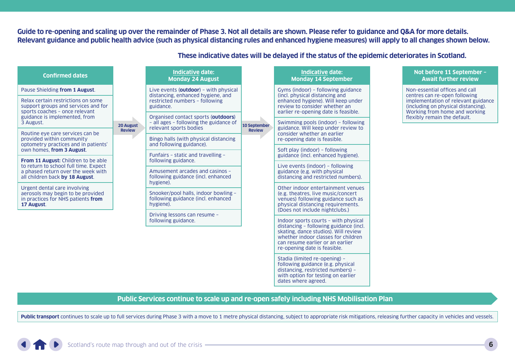**Guide to re-opening and scaling up over the remainder of Phase 3. Not all details are shown. Please refer to guidance and Q&A for more details. Relevant guidance and public health advice (such as physical distancing rules and enhanced hygiene measures) will apply to all changes shown below.**

| <b>Confirmed dates</b>                                                                                                                                    |                                                     | Indicative date:<br><b>Monday 24 August</b>                                                             |                                                                                                                  | <b>Indicative date:</b><br><b>Monday 14 September</b>                                                                                               |  | Not before 11 September -<br><b>Await further review</b>                                                                                                                                                       |
|-----------------------------------------------------------------------------------------------------------------------------------------------------------|-----------------------------------------------------|---------------------------------------------------------------------------------------------------------|------------------------------------------------------------------------------------------------------------------|-----------------------------------------------------------------------------------------------------------------------------------------------------|--|----------------------------------------------------------------------------------------------------------------------------------------------------------------------------------------------------------------|
| Pause Shielding from 1 August.                                                                                                                            | 20 August<br><b>Review</b>                          | Live events (outdoor) - with physical<br>distancing, enhanced hygiene, and                              | <b>10 September</b><br><b>Review</b>                                                                             | Gyms (indoor) - following guidance<br>(incl. physical distancing and                                                                                |  | Non-essential offices and call<br>centres can re-open following<br>implementation of relevant guidance<br>(including on physical distancing).<br>Working from home and working<br>flexibly remain the default. |
| Relax certain restrictions on some<br>support groups and services and for<br>sports coaches - once relevant<br>guidance is implemented, from<br>3 August. |                                                     | restricted numbers - following<br>guidance.                                                             |                                                                                                                  | enhanced hygiene). Will keep under<br>review to consider whether an<br>earlier re-opening date is feasible.                                         |  |                                                                                                                                                                                                                |
|                                                                                                                                                           |                                                     | Organised contact sports (outdoors)<br>- all ages - following the guidance of<br>relevant sports bodies |                                                                                                                  | Swimming pools (indoor) - following                                                                                                                 |  |                                                                                                                                                                                                                |
| Routine eye care services can be<br>provided within community<br>optometry practices and in patients'<br>own homes, from 3 August.                        |                                                     |                                                                                                         |                                                                                                                  | guidance. Will keep under review to<br>consider whether an earlier<br>re-opening date is feasible.                                                  |  |                                                                                                                                                                                                                |
|                                                                                                                                                           |                                                     | Bingo halls (with physical distancing                                                                   |                                                                                                                  |                                                                                                                                                     |  |                                                                                                                                                                                                                |
|                                                                                                                                                           |                                                     | and following guidance).                                                                                |                                                                                                                  | Soft play (indoor) - following                                                                                                                      |  |                                                                                                                                                                                                                |
| From 11 August: Children to be able<br>to return to school full time. Expect<br>a phased return over the week with<br>all children back by 18 August.     |                                                     | Funfairs - static and travelling -<br>following guidance.                                               |                                                                                                                  | guidance (incl. enhanced hygiene).<br>Live events (indoor) - following<br>guidance (e.g. with physical<br>distancing and restricted numbers).       |  |                                                                                                                                                                                                                |
|                                                                                                                                                           |                                                     | Amusement arcades and casinos -<br>following guidance (incl. enhanced<br>hygiene).                      |                                                                                                                  |                                                                                                                                                     |  |                                                                                                                                                                                                                |
| Urgent dental care involving<br>aerosols may begin to be provided<br>in practices for NHS patients from<br>17 August.                                     |                                                     |                                                                                                         |                                                                                                                  | Other indoor entertainment venues<br>(e.g. theatres, live music/concert)<br>venues) following guidance such as<br>physical distancing requirements. |  |                                                                                                                                                                                                                |
|                                                                                                                                                           |                                                     | Snooker/pool halls, indoor bowling -<br>following guidance (incl. enhanced<br>hygiene).                 |                                                                                                                  |                                                                                                                                                     |  |                                                                                                                                                                                                                |
|                                                                                                                                                           | Driving lessons can resume -<br>following guidance. |                                                                                                         | (Does not include nightclubs.)<br>Indoor sports courts - with physical<br>distancing - following guidance (incl. |                                                                                                                                                     |  |                                                                                                                                                                                                                |

**These indicative dates will be delayed if the status of the epidemic deteriorates in Scotland.**

skating, dance studios). Will review whether indoor classes for children can resume earlier or an earlier re-opening date is feasible. Stadia (limited re-opening) – following guidance (e.g. physical distancing, restricted numbers) – with option for testing on earlier

dates where agreed.

#### **Public Services continue to scale up and re-open safely including NHS Mobilisation Plan**

Public transport continues to scale up to full services during Phase 3 with a move to 1 metre physical distancing, subject to appropriate risk mitigations, releasing further capacity in vehicles and vessels.

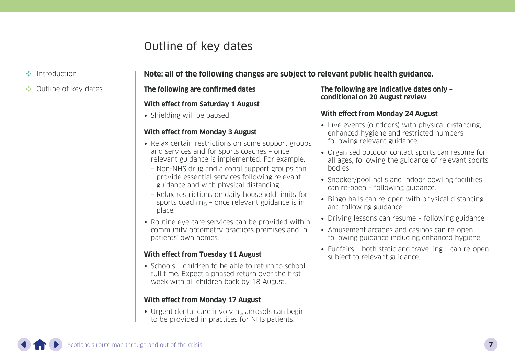# Outline of key dates

- <span id="page-6-0"></span>[Introduction](#page-1-0)
- •• Outline of key dates

#### **Note: all of the following changes are subject to relevant public health guidance.**

#### **The following are confirmed dates**

#### **With effect from Saturday 1 August**

• Shielding will be paused.

#### **With effect from Monday 3 August**

- Relax certain restrictions on some support groups and services and for sports coaches – once relevant guidance is implemented. For example:
	- Non-NHS drug and alcohol support groups can provide essential services following relevant guidance and with physical distancing.
	- Relax restrictions on daily household limits for sports coaching – once relevant guidance is in place.
- Routine eye care services can be provided within community optometry practices premises and in patients' own homes.

#### **With effect from Tuesday 11 August**

• Schools – children to be able to return to school full time. Expect a phased return over the first week with all children back by 18 August.

#### **With effect from Monday 17 August**

• Urgent dental care involving aerosols can begin to be provided in practices for NHS patients.

#### **The following are indicative dates only – conditional on 20 August review**

#### **With effect from Monday 24 August**

- Live events (outdoors) with physical distancing, enhanced hygiene and restricted numbers following relevant guidance.
- Organised outdoor contact sports can resume for all ages, following the guidance of relevant sports bodies.
- Snooker/pool halls and indoor bowling facilities can re-open – following guidance.
- Bingo halls can re-open with physical distancing and following guidance.
- Driving lessons can resume following guidance.
- Amusement arcades and casinos can re-open following guidance including enhanced hygiene.
- Funfairs both static and travelling can re-open subject to relevant guidance.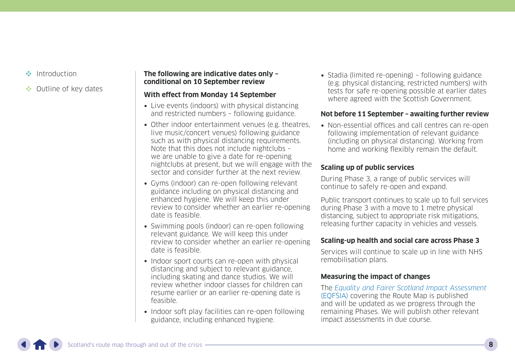- [Introduction](#page-1-0)
- •• [Outline of key dates](#page-6-0)

#### **The following are indicative dates only – conditional on 10 September review**

#### **With effect from Monday 14 September**

- Live events (indoors) with physical distancing and restricted numbers – following guidance.
- Other indoor entertainment venues (e.g. theatres, live music/concert venues) following guidance such as with physical distancing requirements. Note that this does not include nightclubs – we are unable to give a date for re-opening nightclubs at present, but we will engage with the sector and consider further at the next review.
- Gyms (indoor) can re-open following relevant guidance including on physical distancing and enhanced hygiene. We will keep this under review to consider whether an earlier re-opening date is feasible.
- Swimming pools (indoor) can re-open following relevant guidance. We will keep this under review to consider whether an earlier re-opening date is feasible.
- Indoor sport courts can re-open with physical distancing and subject to relevant guidance, including skating and dance studios. We will review whether indoor classes for children can resume earlier or an earlier re-opening date is feasible.
- Indoor soft play facilities can re-open following guidance, including enhanced hygiene.

• Stadia (limited re-opening) – following guidance (e.g. physical distancing, restricted numbers) with tests for safe re-opening possible at earlier dates where agreed with the Scottish Government.

#### **Not before 11 September – awaiting further review**

• Non-essential offices and call centres can re-open following implementation of relevant guidance (including on physical distancing). Working from home and working flexibly remain the default.

#### **Scaling up of public services**

During Phase 3, a range of public services will continue to safely re-open and expand.

Public transport continues to scale up to full services during Phase 3 with a move to 1 metre physical distancing, subject to appropriate risk mitigations, releasing further capacity in vehicles and vessels.

#### **Scaling-up health and social care across Phase 3**

Services will continue to scale up in line with NHS remobilisation plans.

#### **Measuring the impact of changes**

The [Equality and Fairer Scotland Impact Assessment](https://www.gov.scot/publications/equality-fairer-scotland-impact-assessment-evidence-gathered-scotlands-route-map-through-out-crisis/) [\(EQFSIA\)](https://www.gov.scot/publications/equality-fairer-scotland-impact-assessment-evidence-gathered-scotlands-route-map-through-out-crisis/) covering the Route Map is published and will be updated as we progress through the remaining Phases. We will publish other relevant impact assessments in due course.